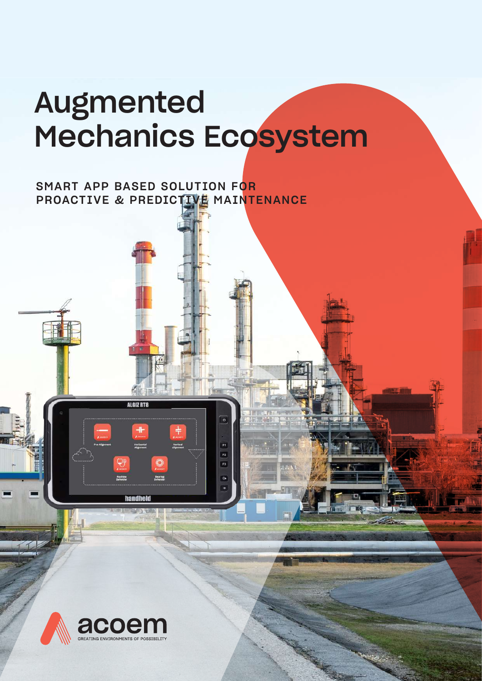# Augmented Mechanics Ecosystem

 $\theta$ 

F1 F2

73 n.

### SMART APP BASED SOLUTION FOR PROACTIVE & PREDICTIVE MAINTENANCE



ALGIZ RTS

**handheid** 

**Window**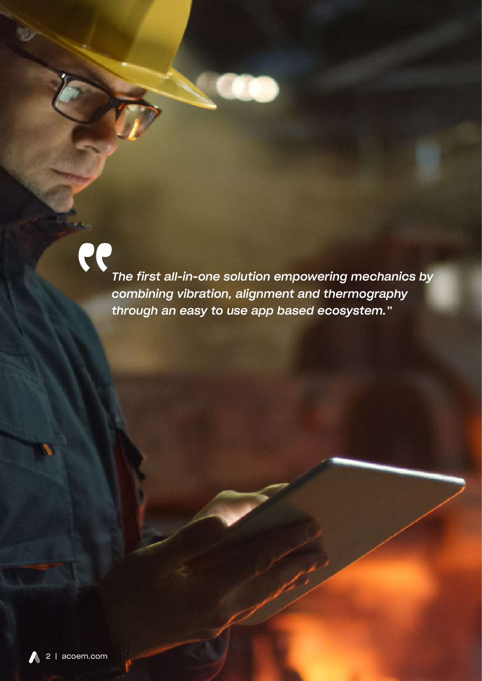PP *The first all-in-one solution empowering mechanics by combining vibration, alignment and thermography through an easy to use app based ecosystem."*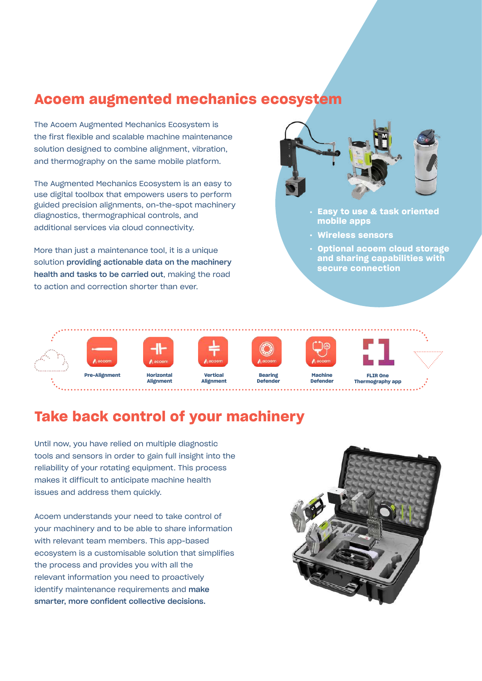### **Acoem augmented mechanics ecosystem**

The Acoem Augmented Mechanics Ecosystem is the first flexible and scalable machine maintenance solution designed to combine alignment, vibration, and thermography on the same mobile platform.

The Augmented Mechanics Ecosystem is an easy to use digital toolbox that empowers users to perform guided precision alignments, on-the-spot machinery diagnostics, thermographical controls, and additional services via cloud connectivity.

More than just a maintenance tool, it is a unique solution providing actionable data on the machinery health and tasks to be carried out, making the road to action and correction shorter than ever.



- **. Easy to use & task oriented mobile apps**
- **. Wireless sensors**
- **. Optional acoem cloud storage and sharing capabilities with secure connection**



### **Take back control of your machinery**

Until now, you have relied on multiple diagnostic tools and sensors in order to gain full insight into the reliability of your rotating equipment. This process makes it difficult to anticipate machine health issues and address them quickly.

Acoem understands your need to take control of your machinery and to be able to share information with relevant team members. This app-based ecosystem is a customisable solution that simplifies the process and provides you with all the relevant information you need to proactively identify maintenance requirements and make smarter, more confident collective decisions.

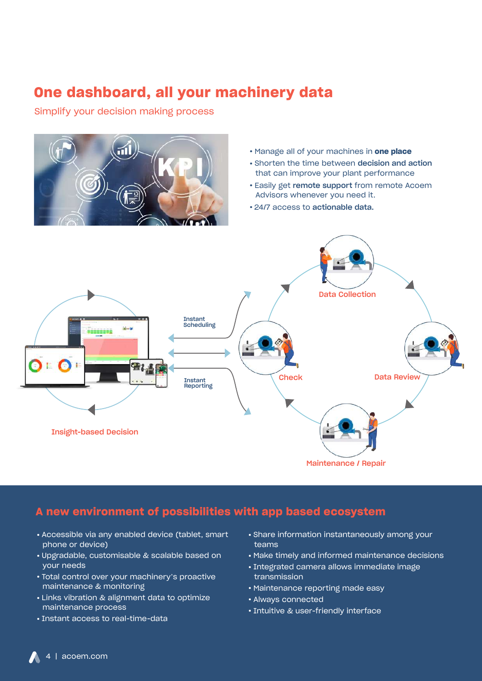### **One dashboard, all your machinery data**

Simplify your decision making process



- **.** Manage all of your machines in **one place**
- **.** Shorten the time between decision and action that can improve your plant performance
- **.** Easily get remote support from remote Acoem Advisors whenever you need it.
- **.** 24/7 access to actionable data.



#### **A new environment of possibilities with app based ecosystem**

- **.** Accessible via any enabled device (tablet, smart phone or device)
- **.** Upgradable, customisable & scalable based on your needs
- **.** Total control over your machinery's proactive maintenance & monitoring
- **.** Links vibration & alignment data to optimize maintenance process
- **.** Instant access to real-time-data
- **.** Share information instantaneously among your teams
- **.** Make timely and informed maintenance decisions
- **.** Integrated camera allows immediate image transmission
- **.** Maintenance reporting made easy
- **.** Always connected
- **.** Intuitive & user-friendly interface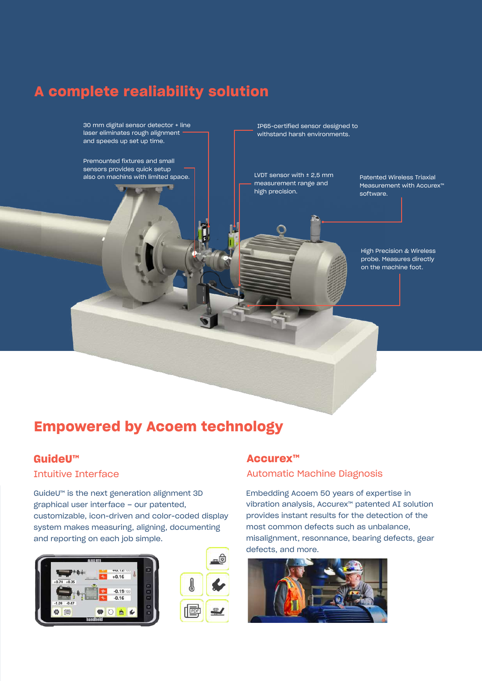### **A complete realiability solution**

30 mm digital sensor detector + line laser eliminates rough alignment and speeds up set up time.

Premounted fixtures and small sensors provides quick setup also on machins with limited space. IP65-certified sensor designed to withstand harsh environments.

LVDT sensor with  $±$  2,5 mm measurement range and high precision.

Patented Wireless Triaxial Measurement with Accurex™ software.

High Precision & Wireless probe. Measures directly on the machine foot.

### **Empowered by Acoem technology**

#### **GuideU™**

#### Intuitive Interface

GuideU™ is the next generation alignment 3D graphical user interface – our patented, customizable, icon-driven and color-coded display system makes measuring, aligning, documenting and reporting on each job simple.





#### **Accurex™**

#### Automatic Machine Diagnosis

Embedding Acoem 50 years of expertise in vibration analysis, Accurex™ patented AI solution provides instant results for the detection of the most common defects such as unbalance, misalignment, resonnance, bearing defects, gear defects, and more.

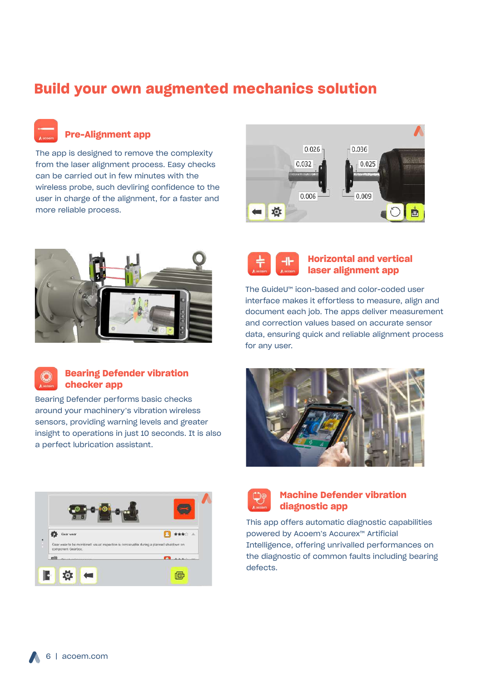### **Build your own augmented mechanics solution**

**Pre-Alignment app**

The app is designed to remove the complexity from the laser alignment process. Easy checks can be carried out in few minutes with the wireless probe, such devliring confidence to the user in charge of the alignment, for a faster and more reliable process.







#### **Bearing Defender vibration checker app**

Bearing Defender performs basic checks around your machinery's vibration wireless sensors, providing warning levels and greater insight to operations in just 10 seconds. It is also a perfect lubrication assistant.



#### **Horizontal and vertical laser alignment app**

The GuideU™ icon-based and color-coded user interface makes it effortless to measure, align and document each job. The apps deliver measurement and correction values based on accurate sensor data, ensuring quick and reliable alignment process for any user.







#### **Machine Defender vibration diagnostic app**

This app offers automatic diagnostic capabilities powered by Acoem's Accurex™ Artificial Intelligence, offering unrivalled performances on the diagnostic of common faults including bearing defects.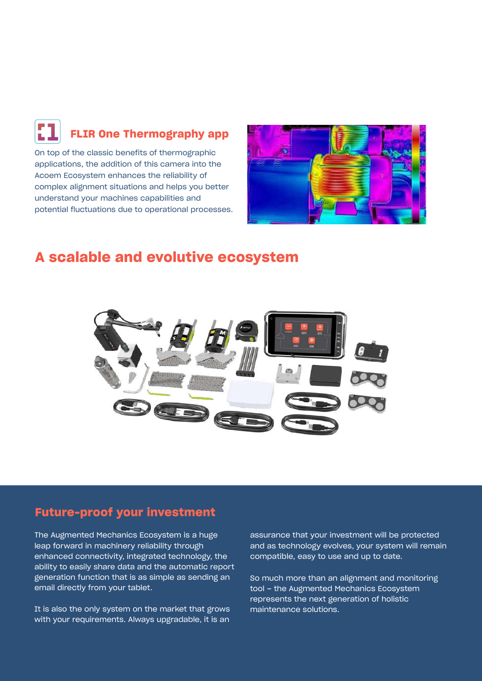## **FLIR One Thermography app**

On top of the classic benefits of thermographic applications, the addition of this camera into the Acoem Ecosystem enhances the reliability of complex alignment situations and helps you better understand your machines capabilities and potential fluctuations due to operational processes.



### **A scalable and evolutive ecosystem**



#### **Future-proof your investment**

The Augmented Mechanics Ecosystem is a huge leap forward in machinery reliability through enhanced connectivity, integrated technology, the ability to easily share data and the automatic report generation function that is as simple as sending an email directly from your tablet.

It is also the only system on the market that grows with your requirements. Always upgradable, it is an

assurance that your investment will be protected and as technology evolves, your system will remain compatible, easy to use and up to date.

So much more than an alignment and monitoring tool – the Augmented Mechanics Ecosystem represents the next generation of holistic maintenance solutions.